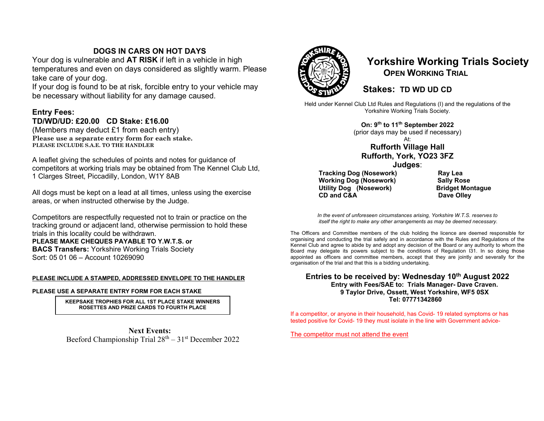## **DOGS IN CARS ON HOT DAYS**

Your dog is vulnerable and **AT RISK** if left in a vehicle in high temperatures and even on days considered as slightly warm. Please take care of your dog.

If your dog is found to be at risk, forcible entry to your vehicle may be necessary without liability for any damage caused.

## **Entry Fees: TD/WD/UD: £20.00 CD Stake: £16.00**

(Members may deduct £1 from each entry) **Please use a separate entry form for each stake. PLEASE INCLUDE S.A.E. TO THE HANDLER** 

A leaflet giving the schedules of points and notes for guidance of competitors at working trials may be obtained from The Kennel Club Ltd, 1 Clarges Street, Piccadilly, London, W1Y 8AB

All dogs must be kept on a lead at all times, unless using the exercise areas, or when instructed otherwise by the Judge.

Competitors are respectfully requested not to train or practice on the tracking ground or adjacent land, otherwise permission to hold these trials in this locality could be withdrawn.

**PLEASE MAKE CHEQUES PAYABLE TO Y.W.T.S. or BACS Transfers:** Yorkshire Working Trials Society Sort: 05 01 06 – Account 10269090

## **PLEASE INCLUDE A STAMPED, ADDRESSED ENVELOPE TO THE HANDLER**

### **PLEASE USE A SEPARATE ENTRY FORM FOR EACH STAKE**

**KEEPSAKE TROPHIES FOR ALL 1ST PLACE STAKE WINNERS ROSETTES AND PRIZE CARDS TO FOURTH PLACE** 

**Next Events:** Beeford Championship Trial  $28<sup>th</sup> - 31<sup>st</sup>$  December 2022



# **Yorkshire Working Trials Society OPEN WORKING TRIAL**

## **Stakes: TD WD UD CD**

Held under Kennel Club Ltd Rules and Regulations (I) and the regulations of the Yorkshire Working Trials Society.

**On: 9th to 11th September 2022** 

(prior days may be used if necessary)

## At: **Rufforth Village Hall Rufforth, York, YO23 3FZ**

**Judges**:

 **Tracking Dog (Nosework) Working Do g (Nosework) Utility Dog (Nosework) CD and C&A** 

**Ray Lea Sally Rose Bridget Montague Dave Olley** 

*In the event of unforeseen circumstances arising, Yorkshire W.T.S. reserves to itself the right to make any other arrangements as may be deemed necessary.* 

The Officers and Committee members of the club holding the licence are deemed responsible for organising and conducting the trial safely and in accordance with the Rules and Regulations of the Kennel Club and agree to abide by and adopt any decision of the Board or any authority to whom the Board may delegate its powers subject to the conditions of Regulation I31. In so doing those appointed as officers and committee members, accept that they are jointly and severally for the organisation of the trial and that this is a bidding undertaking.

### Entries to be received by: Wednesday 10<sup>th</sup> August 2022 **Entry with Fees/SAE to: Trials Manager- Dave Craven. 9 Taylor Drive, Ossett, West Yorkshire, WF5 0SX Tel: 07771342860**

If a competitor, or anyone in their household, has Covid- 19 related symptoms or has tested positive for Covid- 19 they must isolate in the line with Government advice-

The competitor must not attend the event